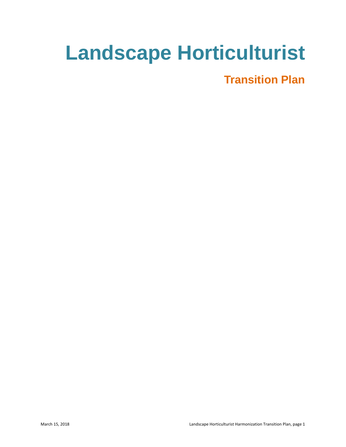# **Landscape Horticulturist**

# **Transition Plan**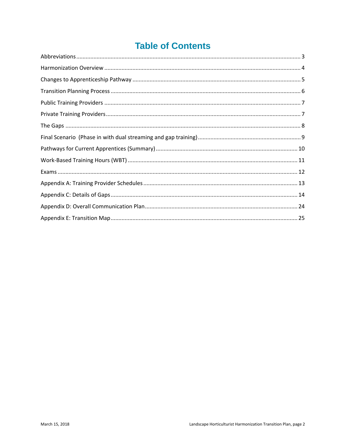# **Table of Contents**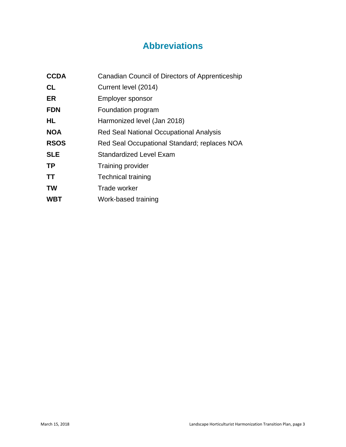# **Abbreviations**

<span id="page-2-0"></span>

| <b>CCDA</b> | Canadian Council of Directors of Apprenticeship |
|-------------|-------------------------------------------------|
| <b>CL</b>   | Current level (2014)                            |
| ER          | Employer sponsor                                |
| <b>FDN</b>  | Foundation program                              |
| HL          | Harmonized level (Jan 2018)                     |
| <b>NOA</b>  | Red Seal National Occupational Analysis         |
| <b>RSOS</b> | Red Seal Occupational Standard; replaces NOA    |
| <b>SLE</b>  | Standardized Level Exam                         |
| <b>TP</b>   | <b>Training provider</b>                        |
| <b>TT</b>   | <b>Technical training</b>                       |
| <b>TW</b>   | Trade worker                                    |
| <b>WBT</b>  | Work-based training                             |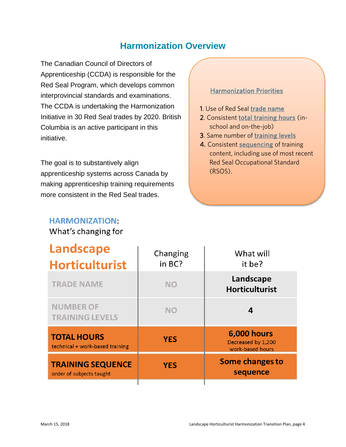### **Harmonization Overview**

<span id="page-3-0"></span>The Canadian Council of Directors of Apprenticeship (CCDA) is responsible for the Red Seal Program, which develops common interprovincial standards and examinations. The CCDA is undertaking the Harmonization Initiative in 30 Red Seal trades by 2020. British Columbia is an active participant in this initiative.

The goal is to substantively align apprenticeship systems across Canada by making apprenticeship training requirements more consistent in the Red Seal trades.

# **HARMONIZATION:**

What's changing for

#### Harmonization Priorities

- 1. Use of Red Seal trade name
- 2. Consistent total training hours (inschool and on-the-job)
- 3. Same number of training levels
- 4. Consistent sequencing of training content, including use of most recent Red Seal Occupational Standard (RSOS).

| <b>Landscape</b><br><b>Horticulturist</b>             | Changing<br>in BC? | What will<br>it be?                                          |
|-------------------------------------------------------|--------------------|--------------------------------------------------------------|
| <b>TRADE NAME</b>                                     | <b>NO</b>          | Landscape<br><b>Horticulturist</b>                           |
| <b>NUMBER OF</b><br><b>TRAINING LEVELS</b>            | <b>NO</b>          | 4                                                            |
| <b>TOTAL HOURS</b><br>technical + work-based training | <b>YES</b>         | <b>6,000 hours</b><br>Decreased by 1,200<br>work-based hours |
| <b>TRAINING SEQUENCE</b><br>order of subjects taught  | <b>YES</b>         | <b>Some changes to</b><br>sequence                           |
|                                                       |                    |                                                              |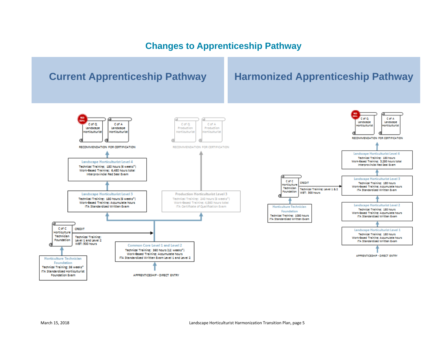### **Changes to Apprenticeship Pathway**

<span id="page-4-0"></span>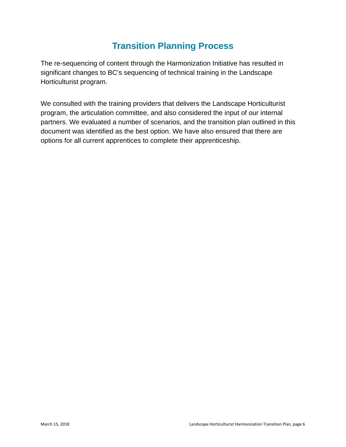# **Transition Planning Process**

<span id="page-5-0"></span>The re-sequencing of content through the Harmonization Initiative has resulted in significant changes to BC's sequencing of technical training in the Landscape Horticulturist program.

We consulted with the training providers that delivers the Landscape Horticulturist program, the articulation committee, and also considered the input of our internal partners. We evaluated a number of scenarios, and the transition plan outlined in this document was identified as the best option. We have also ensured that there are options for all current apprentices to complete their apprenticeship.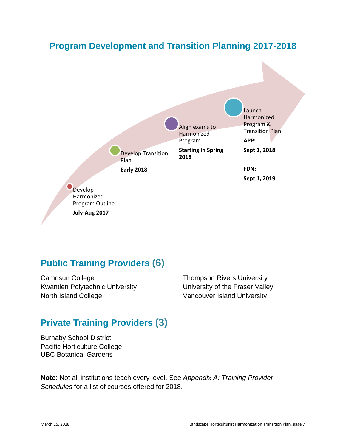### **Program Development and Transition Planning 2017-2018**



### <span id="page-6-0"></span>**Public Training Providers (6)**

Camosun College Kwantlen Polytechnic University North Island College

Thompson Rivers University University of the Fraser Valley Vancouver Island University

# <span id="page-6-1"></span>**Private Training Providers (3)**

Burnaby School District Pacific Horticulture College UBC Botanical Gardens

**Note**: Not all institutions teach every level. See *Appendix A: Training Provider Schedules* for a list of courses offered for 2018.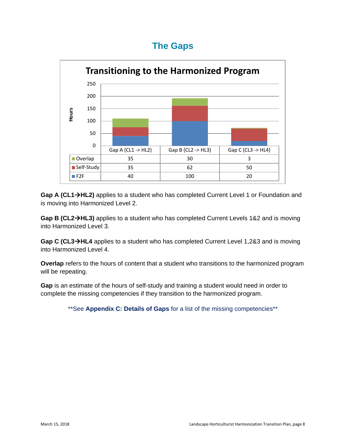### **The Gaps**

<span id="page-7-0"></span>

Gap A (CL1→HL2) applies to a student who has completed Current Level 1 or Foundation and is moving into Harmonized Level 2.

**Gap B (CL2HL3)** applies to a student who has completed Current Levels 1&2 and is moving into Harmonized Level 3.

**Gap C (CL3HL4** applies to a student who has completed Current Level 1,2&3 and is moving into Harmonized Level 4.

**Overlap** refers to the hours of content that a student who transitions to the harmonized program will be repeating.

**Gap** is an estimate of the hours of self-study and training a student would need in order to complete the missing competencies if they transition to the harmonized program.

\*\*See **Appendix C: Details of Gaps** for a list of the missing competencies\*\*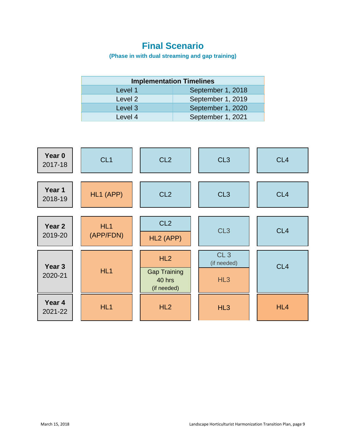## **Final Scenario**

**(Phase in with dual streaming and gap training)**

<span id="page-8-0"></span>

| <b>Implementation Timelines</b> |                   |  |  |
|---------------------------------|-------------------|--|--|
| Level 1                         | September 1, 2018 |  |  |
| Level 2                         | September 1, 2019 |  |  |
| Level 3                         | September 1, 2020 |  |  |
| Level 4                         | September 1, 2021 |  |  |

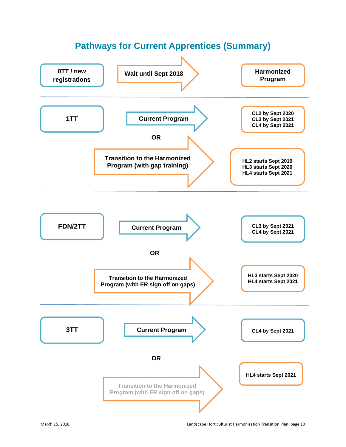<span id="page-9-0"></span>

# **Pathways for Current Apprentices (Summary)**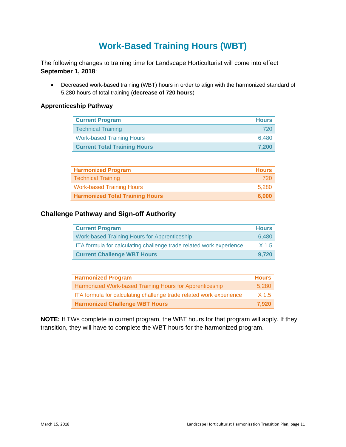# **Work-Based Training Hours (WBT)**

<span id="page-10-0"></span>The following changes to training time for Landscape Horticulturist will come into effect **September 1, 2018**:

• Decreased work-based training (WBT) hours in order to align with the harmonized standard of 5,280 hours of total training (**decrease of 720 hours**)

#### **Apprenticeship Pathway**

| <b>Current Program</b>              | <b>Hours</b> |
|-------------------------------------|--------------|
| <b>Technical Training</b>           | 720          |
| <b>Work-based Training Hours</b>    | 6.480        |
| <b>Current Total Training Hours</b> | 7.200        |

| <b>Harmonized Program</b>              | <b>Hours</b> |
|----------------------------------------|--------------|
| <b>Technical Training</b>              | 720          |
| <b>Work-based Training Hours</b>       | 5.280        |
| <b>Harmonized Total Training Hours</b> | 6.000        |

#### **Challenge Pathway and Sign-off Authority**

| <b>Current Program</b>                                              | <b>Hours</b>     |
|---------------------------------------------------------------------|------------------|
| <b>Work-based Training Hours for Apprenticeship</b>                 | 6.480            |
| ITA formula for calculating challenge trade related work experience | X <sub>1.5</sub> |
| <b>Current Challenge WBT Hours</b>                                  | 9.720            |

| <b>Harmonized Program</b>                                           | <b>Hours</b> |
|---------------------------------------------------------------------|--------------|
| Harmonized Work-based Training Hours for Apprenticeship             | 5.280        |
| ITA formula for calculating challenge trade related work experience | X 1.5        |
| <b>Harmonized Challenge WBT Hours</b>                               | 7.920        |

**NOTE:** If TWs complete in current program, the WBT hours for that program will apply. If they transition, they will have to complete the WBT hours for the harmonized program.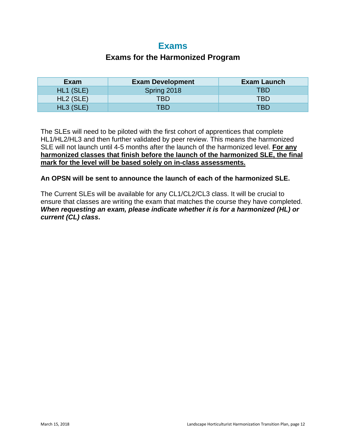### **Exams**

#### **Exams for the Harmonized Program**

<span id="page-11-0"></span>

| Exam                  | <b>Exam Development</b> | Exam Launch |
|-----------------------|-------------------------|-------------|
| HL1 (SLE)             | Spring 2018             | <b>TBD</b>  |
| HL <sub>2</sub> (SLE) | <b>TBD</b>              | TBD         |
| $HL3$ (SLE)           | TBD                     | TBD         |

The SLEs will need to be piloted with the first cohort of apprentices that complete HL1/HL2/HL3 and then further validated by peer review. This means the harmonized SLE will not launch until 4-5 months after the launch of the harmonized level. **For any harmonized classes that finish before the launch of the harmonized SLE, the final mark for the level will be based solely on in-class assessments.** 

#### **An OPSN will be sent to announce the launch of each of the harmonized SLE.**

The Current SLEs will be available for any CL1/CL2/CL3 class. It will be crucial to ensure that classes are writing the exam that matches the course they have completed. *When requesting an exam, please indicate whether it is for a harmonized (HL) or current (CL) class***.**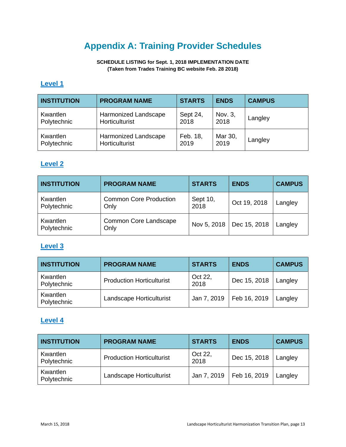# **Appendix A: Training Provider Schedules**

**SCHEDULE LISTING for Sept. 1, 2018 IMPLEMENTATION DATE (Taken from Trades Training BC website Feb. 28 2018)**

#### <span id="page-12-0"></span>**Level 1**

| <b>INSTITUTION</b> | <b>PROGRAM NAME</b>  | <b>STARTS</b> | <b>ENDS</b> | <b>CAMPUS</b> |
|--------------------|----------------------|---------------|-------------|---------------|
| Kwantlen           | Harmonized Landscape | Sept 24,      | Nov. 3,     | Langley       |
| Polytechnic        | Horticulturist       | 2018          | 2018        |               |
| Kwantlen           | Harmonized Landscape | Feb. 18,      | Mar 30,     | Langley       |
| Polytechnic        | Horticulturist       | 2019          | 2019        |               |

#### **Level 2**

| <b>INSTITUTION</b>      | <b>PROGRAM NAME</b>                   | <b>STARTS</b>    | <b>ENDS</b>  | <b>CAMPUS</b> |
|-------------------------|---------------------------------------|------------------|--------------|---------------|
| Kwantlen<br>Polytechnic | <b>Common Core Production</b><br>Only | Sept 10,<br>2018 | Oct 19, 2018 | Langley       |
| Kwantlen<br>Polytechnic | Common Core Landscape<br>Only         | Nov 5, 2018      | Dec 15, 2018 | Langley       |

#### **Level 3**

| <b>INSTITUTION</b>      | <b>PROGRAM NAME</b>              | <b>STARTS</b>   | <b>ENDS</b>  | <b>CAMPUS</b> |
|-------------------------|----------------------------------|-----------------|--------------|---------------|
| Kwantlen<br>Polytechnic | <b>Production Horticulturist</b> | Oct 22,<br>2018 | Dec 15, 2018 | Langley       |
| Kwantlen<br>Polytechnic | Landscape Horticulturist         | Jan 7, 2019     | Feb 16, 2019 | Langley       |

#### **Level 4**

| <b>INSTITUTION</b>      | <b>PROGRAM NAME</b>              | <b>STARTS</b>   | <b>ENDS</b>  | <b>CAMPUS</b> |
|-------------------------|----------------------------------|-----------------|--------------|---------------|
| Kwantlen<br>Polytechnic | <b>Production Horticulturist</b> | Oct 22,<br>2018 | Dec 15, 2018 | Langley       |
| Kwantlen<br>Polytechnic | Landscape Horticulturist         | Jan 7, 2019     | Feb 16, 2019 | Langley       |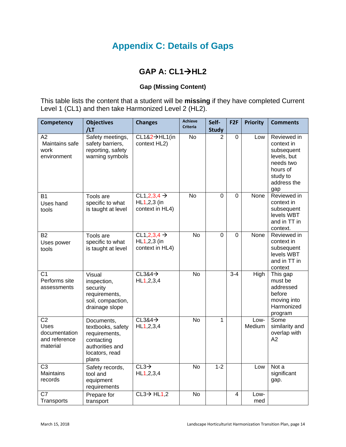# **Appendix C: Details of Gaps**

### **GAP A: CL1→HL2**

#### **Gap (Missing Content)**

<span id="page-13-0"></span>This table lists the content that a student will be **missing** if they have completed Current Level 1 (CL1) and then take Harmonized Level 2 (HL2).

| Competency                                                                   | <b>Objectives</b><br>/LT                                                                                     | <b>Changes</b>                                            | <b>Achieve</b><br><b>Criteria</b> | Self-<br><b>Study</b> | F <sub>2F</sub> | <b>Priority</b> | <b>Comments</b>                                                                                                   |
|------------------------------------------------------------------------------|--------------------------------------------------------------------------------------------------------------|-----------------------------------------------------------|-----------------------------------|-----------------------|-----------------|-----------------|-------------------------------------------------------------------------------------------------------------------|
| A2<br>Maintains safe<br>work<br>environment                                  | Safety meetings,<br>safety barriers,<br>reporting, safety<br>warning symbols                                 | CL1&2->HL1(in<br>context HL2)                             | <b>No</b>                         | $\overline{2}$        | $\mathbf 0$     | Low             | Reviewed in<br>context in<br>subsequent<br>levels, but<br>needs two<br>hours of<br>study to<br>address the<br>gap |
| <b>B1</b><br>Uses hand<br>tools                                              | Tools are<br>specific to what<br>is taught at level                                                          | $CL1,2,3,4 \rightarrow$<br>HL1,2,3 (in<br>context in HL4) | $\overline{N}$                    | 0                     | $\overline{0}$  | None            | Reviewed in<br>context in<br>subsequent<br>levels WBT<br>and in TT in<br>context.                                 |
| <b>B2</b><br>Uses power<br>tools                                             | Tools are<br>specific to what<br>is taught at level                                                          | CL1,2,3,4 $\rightarrow$<br>HL1,2,3 (in<br>context in HL4) | <b>No</b>                         | 0                     | 0               | None            | Reviewed in<br>context in<br>subsequent<br>levels WBT<br>and in TT in<br>context                                  |
| $\overline{C1}$<br>Performs site<br>assessments                              | Visual<br>inspection,<br>security<br>requirements,<br>soil, compaction,<br>drainage slope                    | $CL384 \rightarrow$<br>HL1, 2, 3, 4                       | $\overline{N}$                    |                       | $3 - 4$         | High            | This gap<br>must be<br>addressed<br>before<br>moving into<br>Harmonized<br>program                                |
| $\overline{C2}$<br><b>Uses</b><br>documentation<br>and reference<br>material | Documents,<br>textbooks, safety<br>requirements,<br>contacting<br>authorities and<br>locators, read<br>plans | $CL3&4\rightarrow$<br>HL1, 2, 3, 4                        | $\overline{N}$                    | 1                     |                 | Low-<br>Medium  | Some<br>similarity and<br>overlap with<br>A2                                                                      |
| $\overline{C3}$<br><b>Maintains</b><br>records                               | Safety records,<br>tool and<br>equipment<br>requirements                                                     | $CL3\rightarrow$<br>HL1, 2, 3, 4                          | <b>No</b>                         | $1 - 2$               |                 | Low             | Not a<br>significant<br>gap.                                                                                      |
| C7<br>Transports                                                             | Prepare for<br>transport                                                                                     | $CL3 \rightarrow HL1,2$                                   | <b>No</b>                         |                       | 4               | Low-<br>med     |                                                                                                                   |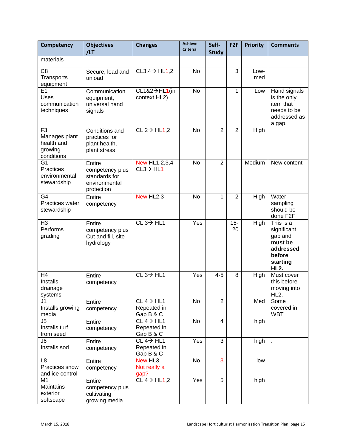| Competency                                                             | <b>Objectives</b><br>/LT                                                  | <b>Changes</b>                                                | <b>Achieve</b><br><b>Criteria</b> | Self-<br><b>Study</b> | F <sub>2F</sub> | <b>Priority</b> | <b>Comments</b>                                                                                  |
|------------------------------------------------------------------------|---------------------------------------------------------------------------|---------------------------------------------------------------|-----------------------------------|-----------------------|-----------------|-----------------|--------------------------------------------------------------------------------------------------|
| materials                                                              |                                                                           |                                                               |                                   |                       |                 |                 |                                                                                                  |
| C <sub>8</sub><br>Transports<br>equipment                              | Secure, load and<br>unload                                                | $CL3,4 \rightarrow HL1,2$                                     | <b>No</b>                         |                       | 3               | Low-<br>med     |                                                                                                  |
| E1<br>Uses<br>communication<br>techniques                              | Communication<br>equipment,<br>universal hand<br>signals                  | CL1&2→HL1(in<br>context HL2)                                  | <b>No</b>                         |                       | 1               | Low             | Hand signals<br>is the only<br>item that<br>needs to be<br>addressed as<br>a gap.                |
| F <sub>3</sub><br>Manages plant<br>health and<br>growing<br>conditions | Conditions and<br>practices for<br>plant health,<br>plant stress          | $CL 2 \rightarrow HL1,2$                                      | <b>No</b>                         | $\overline{2}$        | $\overline{2}$  | High            |                                                                                                  |
| G <sub>1</sub><br>Practices<br>environmental<br>stewardship            | Entire<br>competency plus<br>standards for<br>environmental<br>protection | New HL1,2,3,4<br>$CL3 \rightarrow HL1$                        | <b>No</b>                         | $\overline{2}$        |                 | Medium          | New content                                                                                      |
| G4<br>Practices water<br>stewardship                                   | Entire<br>competency                                                      | New HL <sub>2</sub> ,3                                        | No                                | 1                     | $\overline{2}$  | High            | Water<br>sampling<br>should be<br>done F2F                                                       |
| H3<br>Performs<br>grading                                              | Entire<br>competency plus<br>Cut and fill, site<br>hydrology              | $CL 3 \rightarrow HL1$                                        | Yes                               |                       | $15 -$<br>20    | High            | This is a<br>significant<br>gap and<br>must be<br>addressed<br>before<br>starting<br><b>HL2.</b> |
| H <sub>4</sub><br>Installs<br>drainage<br>systems                      | Entire<br>competency                                                      | $CL 3 \rightarrow HLI$                                        | Yes                               | $4 - 5$               | 8               | High            | Must cover<br>this before<br>moving into<br>HL <sub>2</sub> .                                    |
| J1<br>Installs growing<br>media                                        | Entire<br>competency                                                      | $CL 4 \rightarrow HL1$<br>Repeated in<br>Gap B & C            | No                                | $\overline{2}$        |                 | Med             | Some<br>covered in<br><b>WBT</b>                                                                 |
| $\overline{\sqrt{5}}$<br>Installs turf<br>from seed                    | Entire<br>competency                                                      | $CL 4 \rightarrow H\overline{L1}$<br>Repeated in<br>Gap B & C | No                                | $\overline{4}$        |                 | high            |                                                                                                  |
| J6<br>Installs sod                                                     | Entire<br>competency                                                      | $CL 4 \rightarrow HL1$<br>Repeated in<br>Gap B & C            | Yes                               | 3                     |                 | high            |                                                                                                  |
| L <sub>8</sub><br>Practices snow<br>and ice control                    | Entire<br>competency                                                      | New HL3<br>Not really a<br>gap?                               | No                                | 3                     |                 | low             |                                                                                                  |
| M <sub>1</sub><br>Maintains<br>exterior<br>softscape                   | Entire<br>competency plus<br>cultivating<br>growing media                 | CL $4\rightarrow$ HL1,2                                       | Yes                               | 5                     |                 | high            |                                                                                                  |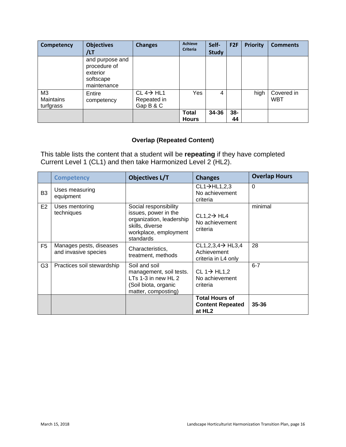| Competency                   | <b>Objectives</b><br>/LT                                                | <b>Changes</b>                                      | <b>Achieve</b><br><b>Criteria</b> | Self-<br><b>Study</b> | F <sub>2F</sub> | <b>Priority</b> | <b>Comments</b>          |
|------------------------------|-------------------------------------------------------------------------|-----------------------------------------------------|-----------------------------------|-----------------------|-----------------|-----------------|--------------------------|
|                              | and purpose and<br>procedure of<br>exterior<br>softscape<br>maintenance |                                                     |                                   |                       |                 |                 |                          |
| M3<br>Maintains<br>turfgrass | Entire<br>competency                                                    | $CL 4 \rightarrow H L1$<br>Repeated in<br>Gap B & C | Yes                               | 4                     |                 | high            | Covered in<br><b>WBT</b> |
|                              |                                                                         |                                                     | <b>Total</b><br><b>Hours</b>      | 34-36                 | $38 -$<br>44    |                 |                          |

#### **Overlap (Repeated Content)**

This table lists the content that a student will be **repeating** if they have completed Current Level 1 (CL1) and then take Harmonized Level 2 (HL2).

|                | <b>Competency</b>                               | <b>Objectives L/T</b>                                                                                                              | <b>Changes</b>                                                         | <b>Overlap Hours</b> |
|----------------|-------------------------------------------------|------------------------------------------------------------------------------------------------------------------------------------|------------------------------------------------------------------------|----------------------|
| B <sub>3</sub> | Uses measuring<br>equipment                     |                                                                                                                                    | $CL1 \rightarrow HL1,2,3$<br>No achievement<br>criteria                | $\overline{0}$       |
| E2             | Uses mentoring<br>techniques                    | Social responsibility<br>issues, power in the<br>organization, leadership<br>skills, diverse<br>workplace, employment<br>standards | $CL1,2 \rightarrow HL4$<br>No achievement<br>criteria                  | minimal              |
| F <sub>5</sub> | Manages pests, diseases<br>and invasive species | Characteristics,<br>treatment, methods                                                                                             | CL1,2,3,4 $\rightarrow$ HL3,4<br>Achievement<br>criteria in L4 only    | 28                   |
| G3             | Practices soil stewardship                      | Soil and soil<br>management, soil tests.<br>LTs 1-3 in new HL 2<br>(Soil biota, organic<br>matter, composting)                     | $CL 1 \rightarrow HL1,2$<br>No achievement<br>criteria                 | $6 - 7$              |
|                |                                                 |                                                                                                                                    | <b>Total Hours of</b><br><b>Content Repeated</b><br>at HL <sub>2</sub> | 35-36                |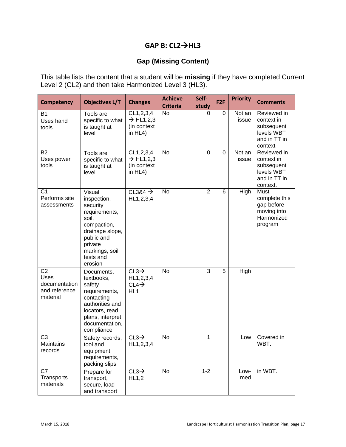### **GAP B: CL2HL3**

#### **Gap (Missing Content)**

This table lists the content that a student will be **missing** if they have completed Current Level 2 (CL2) and then take Harmonized Level 3 (HL3).

| <b>Competency</b>                                                    | <b>Objectives L/T</b>                                                                                                                                            | <b>Changes</b>                                                          | <b>Achieve</b><br><b>Criteria</b> | Self-<br>study | F <sub>2F</sub> | <b>Priority</b> | <b>Comments</b>                                                                   |
|----------------------------------------------------------------------|------------------------------------------------------------------------------------------------------------------------------------------------------------------|-------------------------------------------------------------------------|-----------------------------------|----------------|-----------------|-----------------|-----------------------------------------------------------------------------------|
| <b>B1</b><br>Uses hand<br>tools                                      | Tools are<br>specific to what<br>is taught at<br>level                                                                                                           | CL1,2,3,4<br>$\rightarrow$ HL1,2,3<br>(in context<br>in $HL4$ )         | <b>No</b>                         | 0              | 0               | Not an<br>issue | Reviewed in<br>context in<br>subsequent<br>levels WBT<br>and in TT in<br>context  |
| <b>B2</b><br>Uses power<br>tools                                     | Tools are<br>specific to what<br>is taught at<br>level                                                                                                           | CL1,2,3,4<br>$\rightarrow$ HL1,2,3<br>(in context<br>in $HL4$ )         | <b>No</b>                         | 0              | 0               | Not an<br>issue | Reviewed in<br>context in<br>subsequent<br>levels WBT<br>and in TT in<br>context. |
| C <sub>1</sub><br>Performs site<br>assessments                       | Visual<br>inspection,<br>security<br>requirements,<br>soil,<br>compaction,<br>drainage slope,<br>public and<br>private<br>markings, soil<br>tests and<br>erosion | CL3&4 $\rightarrow$<br>HL1, 2, 3, 4                                     | <b>No</b>                         | $\overline{2}$ | 6               | High            | Must<br>complete this<br>gap before<br>moving into<br>Harmonized<br>program       |
| C <sub>2</sub><br>Uses<br>documentation<br>and reference<br>material | Documents,<br>textbooks,<br>safety<br>requirements,<br>contacting<br>authorities and<br>locators, read<br>plans, interpret<br>documentation,<br>compliance       | $CL3\rightarrow$<br>HL1, 2, 3, 4<br>$CL4\rightarrow$<br>HL <sub>1</sub> | <b>No</b>                         | 3              | 5               | High            |                                                                                   |
| $\overline{C3}$<br><b>Maintains</b><br>records                       | Safety records,<br>tool and<br>equipment<br>requirements,<br>packing slips                                                                                       | $CL3\rightarrow$<br>HL1, 2, 3, 4                                        | <b>No</b>                         | 1              |                 | Low             | Covered in<br>WBT.                                                                |
| C7<br>Transports<br>materials                                        | Prepare for<br>transport,<br>secure, load<br>and transport                                                                                                       | $CL3\rightarrow$<br>HL1,2                                               | <b>No</b>                         | $1 - 2$        |                 | Low-<br>med     | in WBT.                                                                           |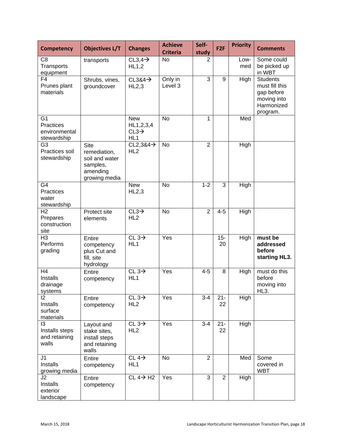| <b>Competency</b>                                           | <b>Objectives L/T</b>                                                                  | <b>Changes</b>                                                    | <b>Achieve</b><br><b>Criteria</b> | Self-<br>study | F <sub>2F</sub> | <b>Priority</b> | <b>Comments</b>                                                                          |
|-------------------------------------------------------------|----------------------------------------------------------------------------------------|-------------------------------------------------------------------|-----------------------------------|----------------|-----------------|-----------------|------------------------------------------------------------------------------------------|
| C <sub>8</sub><br>Transports<br>equipment                   | transports                                                                             | $CL3,4\rightarrow$<br>HL1,2                                       | <b>No</b>                         | 2              |                 | Low-<br>med     | Some could<br>be picked up<br>in WBT                                                     |
| F <sub>4</sub><br>Prunes plant<br>materials                 | Shrubs, vines,<br>groundcover                                                          | $CL384 \rightarrow$<br>HL2,3                                      | Only in<br>Level 3                | 3              | 9               | High            | <b>Students</b><br>must fill this<br>gap before<br>moving into<br>Harmonized<br>program. |
| G <sub>1</sub><br>Practices<br>environmental<br>stewardship |                                                                                        | <b>New</b><br>HL1, 2, 3, 4<br>$CL3\rightarrow$<br>HL <sub>1</sub> | <b>No</b>                         | 1              |                 | Med             |                                                                                          |
| G <sub>3</sub><br>Practices soil<br>stewardship             | <b>Site</b><br>remediation,<br>soil and water<br>samples,<br>amending<br>growing media | $CL2, 384 \rightarrow$<br>HL <sub>2</sub>                         | No                                | $\overline{2}$ |                 | High            |                                                                                          |
| G4<br>Practices<br>water<br>stewardship                     |                                                                                        | <b>New</b><br>HL2,3                                               | <b>No</b>                         | $1 - 2$        | 3               | High            |                                                                                          |
| H <sub>2</sub><br>Prepares<br>construction<br>site          | Protect site<br>elements                                                               | $CL3\rightarrow$<br>HL <sub>2</sub>                               | No                                | $\overline{2}$ | $4 - 5$         | High            |                                                                                          |
| H <sub>3</sub><br>Performs<br>grading                       | Entire<br>competency<br>plus Cut and<br>fill, site<br>hydrology                        | CL $3\rightarrow$<br>HL <sub>1</sub>                              | Yes                               |                | $15 -$<br>20    | High            | must be<br>addressed<br>before<br>starting HL3.                                          |
| H <sub>4</sub><br>Installs<br>drainage<br>systems           | Entire<br>competency                                                                   | CL $3\rightarrow$<br>HL <sub>1</sub>                              | Yes                               | $4 - 5$        | 8               | High            | must do this<br>before<br>moving into<br>HL3.                                            |
| 12<br>Installs<br>surface<br>materials                      | Entire<br>competency                                                                   | CL $3\rightarrow$<br>HL <sub>2</sub>                              | Yes                               | $3 - 4$        | $21 -$<br>22    | High            |                                                                                          |
| 13<br>Installs steps<br>and retaining<br>walls              | Layout and<br>stake sites,<br>install steps<br>and retaining<br>walls                  | CL $3\rightarrow$<br>HL <sub>2</sub>                              | Yes                               | $3-4$          | $21 -$<br>22    | High            |                                                                                          |
| J <sub>1</sub><br>Installs<br>growing media                 | Entire<br>competency                                                                   | CL $\overline{4\rightarrow}$<br>HL <sub>1</sub>                   | <b>No</b>                         | $\overline{2}$ |                 | Med             | Some<br>covered in<br><b>WBT</b>                                                         |
| J2<br>Installs<br>exterior<br>landscape                     | Entire<br>competency                                                                   | $CL 4 \rightarrow H2$                                             | Yes                               | 3              | $\overline{2}$  | High            |                                                                                          |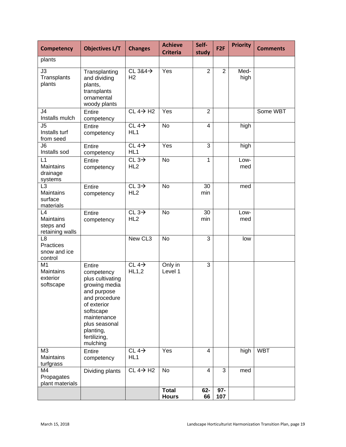| <b>Competency</b>                                          | <b>Objectives L/T</b>                                                                                                                                                                          | <b>Changes</b>                        | <b>Achieve</b><br><b>Criteria</b> | Self-<br>study | F <sub>2F</sub> | <b>Priority</b> | <b>Comments</b> |
|------------------------------------------------------------|------------------------------------------------------------------------------------------------------------------------------------------------------------------------------------------------|---------------------------------------|-----------------------------------|----------------|-----------------|-----------------|-----------------|
| plants                                                     |                                                                                                                                                                                                |                                       |                                   |                |                 |                 |                 |
| $\overline{J3}$<br>Transplants<br>plants                   | Transplanting<br>and dividing<br>plants,<br>transplants<br>ornamental<br>woody plants                                                                                                          | CL $384\rightarrow$<br>H <sub>2</sub> | Yes                               | $\overline{2}$ | $\overline{2}$  | Med-<br>high    |                 |
| J4<br>Installs mulch                                       | Entire<br>competency                                                                                                                                                                           | $CL 4 \rightarrow H2$                 | Yes                               | $\overline{2}$ |                 |                 | Some WBT        |
| J <sub>5</sub><br>Installs turf<br>from seed               | Entire<br>competency                                                                                                                                                                           | $CL4\rightarrow$<br>HL <sub>1</sub>   | <b>No</b>                         | 4              |                 | high            |                 |
| J6<br>Installs sod                                         | Entire<br>competency                                                                                                                                                                           | CL $4\rightarrow$<br>HL <sub>1</sub>  | Yes                               | 3              |                 | high            |                 |
| L1<br><b>Maintains</b><br>drainage<br>systems              | Entire<br>competency                                                                                                                                                                           | CL $3\rightarrow$<br>HL <sub>2</sub>  | <b>No</b>                         | $\mathbf{1}$   |                 | Low-<br>med     |                 |
| L <sub>3</sub><br><b>Maintains</b><br>surface<br>materials | Entire<br>competency                                                                                                                                                                           | CL $3\rightarrow$<br>HL <sub>2</sub>  | <b>No</b>                         | 30<br>min      |                 | med             |                 |
| L4<br>Maintains<br>steps and<br>retaining walls            | Entire<br>competency                                                                                                                                                                           | CL $3\rightarrow$<br>HL <sub>2</sub>  | $\overline{N}$                    | 30<br>min      |                 | Low-<br>med     |                 |
| L <sub>8</sub><br>Practices<br>snow and ice<br>control     |                                                                                                                                                                                                | New CL3                               | <b>No</b>                         | 3              |                 | low             |                 |
| M1<br><b>Maintains</b><br>exterior<br>softscape            | Entire<br>competency<br>plus cultivating<br>growing media<br>and purpose<br>and procedure<br>of exterior<br>softscape<br>maintenance<br>plus seasonal<br>planting,<br>fertilizing,<br>mulching | CL 4 $\rightarrow$<br>HL1,2           | Only in<br>Level 1                | 3              |                 |                 |                 |
| M <sub>3</sub><br>Maintains<br>turfgrass                   | Entire<br>competency                                                                                                                                                                           | CL $4\rightarrow$<br>HL <sub>1</sub>  | Yes                               | $\overline{4}$ |                 | high            | <b>WBT</b>      |
| M4<br>Propagates<br>plant materials                        | Dividing plants                                                                                                                                                                                | $CL 4 \rightarrow H2$                 | No                                | $\overline{4}$ | 3               | med             |                 |
|                                                            |                                                                                                                                                                                                |                                       | <b>Total</b><br><b>Hours</b>      | $62-$<br>66    | $97 -$<br>107   |                 |                 |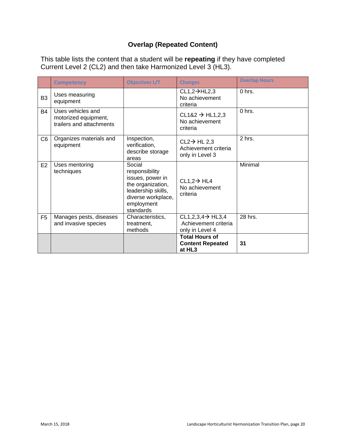#### **Overlap (Repeated Content)**

This table lists the content that a student will be **repeating** if they have completed Current Level 2 (CL2) and then take Harmonized Level 3 (HL3).

|                | <b>Competency</b>                                                     | <b>Objectives L/T</b>                                                                                                                    | <b>Changes</b>                                                           | <b>Overlap Hours</b> |
|----------------|-----------------------------------------------------------------------|------------------------------------------------------------------------------------------------------------------------------------------|--------------------------------------------------------------------------|----------------------|
| B <sub>3</sub> | Uses measuring<br>equipment                                           |                                                                                                                                          | $CL1,2 \rightarrow HL2,3$<br>No achievement<br>criteria                  | 0 hrs.               |
| B4             | Uses vehicles and<br>motorized equipment,<br>trailers and attachments |                                                                                                                                          | $CL182 \rightarrow HL1,2,3$<br>No achievement<br>criteria                | 0 hrs.               |
| C <sub>6</sub> | Organizes materials and<br>equipment                                  | Inspection,<br>verification,<br>describe storage<br>areas                                                                                | $CL2 \rightarrow HL2,3$<br>Achievement criteria<br>only in Level 3       | 2 hrs.               |
| E <sub>2</sub> | Uses mentoring<br>techniques                                          | Social<br>responsibility<br>issues, power in<br>the organization,<br>leadership skills,<br>diverse workplace,<br>employment<br>standards | $CL1,2 \rightarrow HL4$<br>No achievement<br>criteria                    | Minimal              |
| F <sub>5</sub> | Manages pests, diseases<br>and invasive species                       | Characteristics,<br>treatment.<br>methods                                                                                                | $CL1,2,3,4 \rightarrow HL3,4$<br>Achievement criteria<br>only in Level 4 | 28 hrs.              |
|                |                                                                       |                                                                                                                                          | <b>Total Hours of</b><br><b>Content Repeated</b><br>at HL3               | 31                   |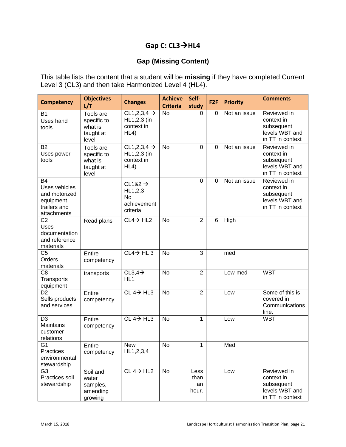#### **Gap C: CL3→HL4**

#### **Gap (Missing Content)**

This table lists the content that a student will be **missing** if they have completed Current Level 3 (CL3) and then take Harmonized Level 4 (HL4).

| <b>Competency</b>                                                                        | <b>Objectives</b><br>L/T                                  | <b>Changes</b>                                                         | <b>Achieve</b><br><b>Criteria</b> | Self-<br>study              | F <sub>2F</sub> | <b>Priority</b> | <b>Comments</b>                                                               |
|------------------------------------------------------------------------------------------|-----------------------------------------------------------|------------------------------------------------------------------------|-----------------------------------|-----------------------------|-----------------|-----------------|-------------------------------------------------------------------------------|
| <b>B1</b><br>Uses hand<br>tools                                                          | Tools are<br>specific to<br>what is<br>taught at<br>level | CL1,2,3,4 $\rightarrow$<br>HL1,2,3 (in<br>context in<br>HL4)           | <b>No</b>                         | 0                           | 0               | Not an issue    | Reviewed in<br>context in<br>subsequent<br>levels WBT and<br>in TT in context |
| <b>B2</b><br>Uses power<br>tools                                                         | Tools are<br>specific to<br>what is<br>taught at<br>level | CL1,2,3,4 $\rightarrow$<br>HL1,2,3 (in<br>context in<br>HL4)           | No                                | 0                           | $\Omega$        | Not an issue    | Reviewed in<br>context in<br>subsequent<br>levels WBT and<br>in TT in context |
| <b>B4</b><br>Uses vehicles<br>and motorized<br>equipment,<br>trailers and<br>attachments |                                                           | $CL182 \rightarrow$<br>HL1,2,3<br><b>No</b><br>achievement<br>criteria |                                   | $\overline{0}$              | $\Omega$        | Not an issue    | Reviewed in<br>context in<br>subsequent<br>levels WBT and<br>in TT in context |
| C <sub>2</sub><br>Uses<br>documentation<br>and reference<br>materials                    | Read plans                                                | $CL4 \rightarrow HL2$                                                  | No                                | $\overline{2}$              | 6               | High            |                                                                               |
| C <sub>5</sub><br>Orders<br>materials                                                    | Entire<br>competency                                      | $CL4 \rightarrow HL3$                                                  | <b>No</b>                         | $\overline{3}$              |                 | med             |                                                                               |
| C <sub>8</sub><br>Transports<br>equipment                                                | transports                                                | $CL3,4\rightarrow$<br>HL <sub>1</sub>                                  | <b>No</b>                         | $\overline{2}$              |                 | Low-med         | <b>WBT</b>                                                                    |
| D <sub>2</sub><br>Sells products<br>and services                                         | Entire<br>competency                                      | $CL 4 \rightarrow HL3$                                                 | <b>No</b>                         | $\overline{2}$              |                 | Low             | Some of this is<br>covered in<br>Communications<br>line.                      |
| D <sub>3</sub><br><b>Maintains</b><br>customer<br>relations                              | Entire<br>competency                                      | $CL 4 \rightarrow HL3$                                                 | <b>No</b>                         | 1                           |                 | Low             | <b>WBT</b>                                                                    |
| G <sub>1</sub><br>Practices<br>environmental<br>stewardship                              | Entire<br>competency                                      | <b>New</b><br>HL1, 2, 3, 4                                             | <b>No</b>                         | $\mathbf{1}$                |                 | Med             |                                                                               |
| G <sub>3</sub><br>Practices soil<br>stewardship                                          | Soil and<br>water<br>samples,<br>amending<br>growing      | $CL 4 \rightarrow HL2$                                                 | <b>No</b>                         | Less<br>than<br>an<br>hour. |                 | Low             | Reviewed in<br>context in<br>subsequent<br>levels WBT and<br>in TT in context |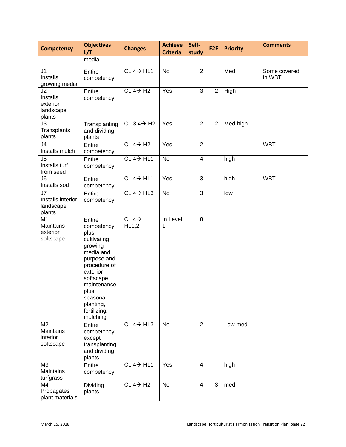| <b>Competency</b>                                    | <b>Objectives</b><br>L/T                                                                                                                                                                                | <b>Changes</b>             | <b>Achieve</b><br><b>Criteria</b> | Self-<br>study          | F <sub>2F</sub> | <b>Priority</b> | <b>Comments</b>        |
|------------------------------------------------------|---------------------------------------------------------------------------------------------------------------------------------------------------------------------------------------------------------|----------------------------|-----------------------------------|-------------------------|-----------------|-----------------|------------------------|
|                                                      | media                                                                                                                                                                                                   |                            |                                   |                         |                 |                 |                        |
| J <sub>1</sub><br>Installs<br>growing media          | Entire<br>competency                                                                                                                                                                                    | $CL 4 \rightarrow HL1$     | No                                | $\overline{2}$          |                 | Med             | Some covered<br>in WBT |
| J2<br>Installs<br>exterior<br>landscape<br>plants    | Entire<br>competency                                                                                                                                                                                    | $CL 4 \rightarrow H2$      | Yes                               | 3                       | $\overline{2}$  | High            |                        |
| J3<br>Transplants<br>plants                          | Transplanting<br>and dividing<br>plants                                                                                                                                                                 | CL $3,4 \rightarrow H2$    | Yes                               | $\overline{2}$          | $\overline{2}$  | Med-high        |                        |
| J <sub>4</sub><br>Installs mulch                     | Entire<br>competency                                                                                                                                                                                    | $CL 4 \rightarrow H2$      | Yes                               | $\overline{2}$          |                 |                 | <b>WBT</b>             |
| J <sub>5</sub><br>Installs turf<br>from seed         | Entire<br>competency                                                                                                                                                                                    | $CL 4 \rightarrow HL1$     | No                                | $\overline{\mathbf{4}}$ |                 | high            |                        |
| J <sub>6</sub><br>Installs sod                       | Entire<br>competency                                                                                                                                                                                    | $CL 4 \rightarrow HL1$     | Yes                               | 3                       |                 | high            | <b>WBT</b>             |
| J7<br>Installs interior<br>landscape<br>plants       | Entire<br>competency                                                                                                                                                                                    | $CL 4 \rightarrow HL3$     | <b>No</b>                         | $\overline{3}$          |                 | low             |                        |
| M <sub>1</sub><br>Maintains<br>exterior<br>softscape | Entire<br>competency<br>plus<br>cultivating<br>growing<br>media and<br>purpose and<br>procedure of<br>exterior<br>softscape<br>maintenance<br>plus<br>seasonal<br>planting,<br>fertilizing,<br>mulching | CL $4\rightarrow$<br>HL1,2 | In Level<br>1                     | $\overline{8}$          |                 |                 |                        |
| M <sub>2</sub><br>Maintains<br>interior<br>softscape | Entire<br>competency<br>except<br>transplanting<br>and dividing<br>plants                                                                                                                               | $CL 4 \rightarrow HL3$     | <b>No</b>                         | $\overline{2}$          |                 | Low-med         |                        |
| M <sub>3</sub><br>Maintains<br>turfgrass             | Entire<br>competency                                                                                                                                                                                    | $CL 4 \rightarrow HL1$     | Yes                               | $\overline{4}$          |                 | high            |                        |
| M4<br>Propagates<br>plant materials                  | Dividing<br>plants                                                                                                                                                                                      | $CL 4 \rightarrow H2$      | No                                | $\overline{4}$          | 3               | med             |                        |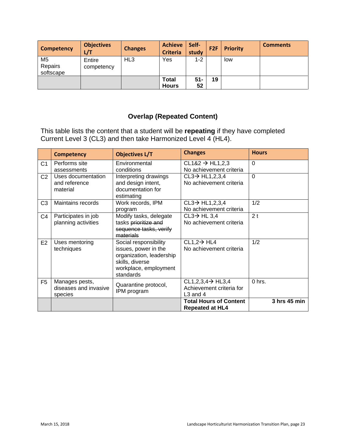| Competency                             | <b>Objectives</b><br>L/T | <b>Changes</b>  | <b>Achieve</b><br><b>Criteria</b> | Self-<br>study | F <sub>2F</sub> | <b>Priority</b> | <b>Comments</b> |
|----------------------------------------|--------------------------|-----------------|-----------------------------------|----------------|-----------------|-----------------|-----------------|
| M <sub>5</sub><br>Repairs<br>softscape | Entire<br>competency     | HL <sub>3</sub> | Yes                               | $1 - 2$        |                 | low             |                 |
|                                        |                          |                 | Total<br><b>Hours</b>             | $51 -$<br>52   | 19              |                 |                 |

#### **Overlap (Repeated Content)**

This table lists the content that a student will be **repeating** if they have completed Current Level 3 (CL3) and then take Harmonized Level 4 (HL4).

|                | <b>Competency</b>                                  | <b>Objectives L/T</b>                                                                                                              | <b>Changes</b>                                                          | <b>Hours</b>   |
|----------------|----------------------------------------------------|------------------------------------------------------------------------------------------------------------------------------------|-------------------------------------------------------------------------|----------------|
| C1             | Performs site<br>assessments                       | Environmental<br>conditions                                                                                                        | $CL182 \rightarrow HL1,2,3$<br>No achievement criteria                  | $\Omega$       |
| C <sub>2</sub> | Uses documentation<br>and reference<br>material    | Interpreting drawings<br>and design intent,<br>documentation for<br>estimating                                                     | $CL3 \rightarrow HL1, 2, 3, 4$<br>No achievement criteria               | $\Omega$       |
| C <sub>3</sub> | Maintains records                                  | Work records, IPM<br>program                                                                                                       | $CL3 \rightarrow HL1, 2, 3, 4$<br>No achievement criteria               | 1/2            |
| C4             | Participates in job<br>planning activities         | Modify tasks, delegate<br>tasks prioritize and<br>sequence tasks, verify<br>materials                                              | $CL3 \rightarrow HL3,4$<br>No achievement criteria                      | 2 <sub>t</sub> |
| E <sub>2</sub> | Uses mentoring<br>techniques                       | Social responsibility<br>issues, power in the<br>organization, leadership<br>skills, diverse<br>workplace, employment<br>standards | $CL1,2 \rightarrow HL4$<br>No achievement criteria                      | 1/2            |
| F <sub>5</sub> | Manages pests,<br>diseases and invasive<br>species | Quarantine protocol,<br>IPM program                                                                                                | $CL1,2,3,4 \rightarrow HL3,4$<br>Achievement criteria for<br>$L3$ and 4 | 0 hrs.         |
|                |                                                    |                                                                                                                                    | <b>Total Hours of Content</b><br><b>Repeated at HL4</b>                 | 3 hrs 45 min   |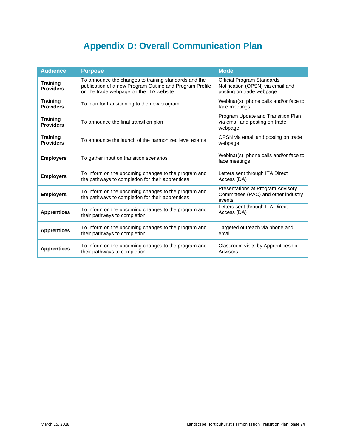# **Appendix D: Overall Communication Plan**

<span id="page-23-0"></span>

| <b>Audience</b>                     | <b>Purpose</b>                                                                                                                                               | <b>Mode</b>                                                                                        |
|-------------------------------------|--------------------------------------------------------------------------------------------------------------------------------------------------------------|----------------------------------------------------------------------------------------------------|
| <b>Training</b><br><b>Providers</b> | To announce the changes to training standards and the<br>publication of a new Program Outline and Program Profile<br>on the trade webpage on the ITA website | <b>Official Program Standards</b><br>Notification (OPSN) via email and<br>posting on trade webpage |
| <b>Training</b><br><b>Providers</b> | To plan for transitioning to the new program                                                                                                                 | Webinar(s), phone calls and/or face to<br>face meetings                                            |
| Training<br><b>Providers</b>        | To announce the final transition plan                                                                                                                        | Program Update and Transition Plan<br>via email and posting on trade<br>webpage                    |
| <b>Training</b><br><b>Providers</b> | To announce the launch of the harmonized level exams                                                                                                         | OPSN via email and posting on trade<br>webpage                                                     |
| <b>Employers</b>                    | To gather input on transition scenarios                                                                                                                      | Webinar(s), phone calls and/or face to<br>face meetings                                            |
| <b>Employers</b>                    | To inform on the upcoming changes to the program and<br>the pathways to completion for their apprentices                                                     | Letters sent through ITA Direct<br>Access (DA)                                                     |
| <b>Employers</b>                    | To inform on the upcoming changes to the program and<br>the pathways to completion for their apprentices                                                     | Presentations at Program Advisory<br>Committees (PAC) and other industry<br>events                 |
| <b>Apprentices</b>                  | To inform on the upcoming changes to the program and<br>their pathways to completion                                                                         | Letters sent through ITA Direct<br>Access (DA)                                                     |
| <b>Apprentices</b>                  | To inform on the upcoming changes to the program and<br>their pathways to completion                                                                         | Targeted outreach via phone and<br>email                                                           |
| <b>Apprentices</b>                  | To inform on the upcoming changes to the program and<br>their pathways to completion                                                                         | Classroom visits by Apprenticeship<br>Advisors                                                     |